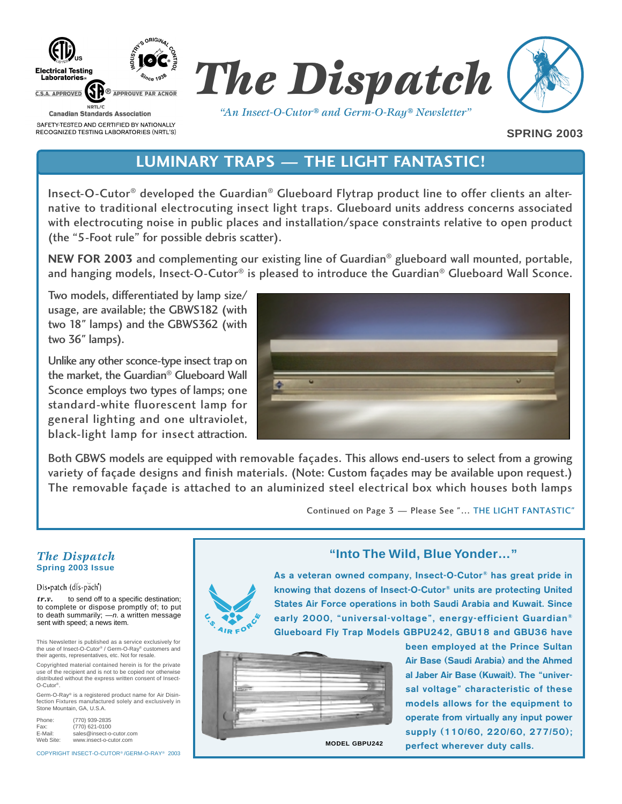



*"An Insect-O-Cutor® and Germ-O-Ray® Newsletter"*

**SPRING 2003**

# **LUMINARY TRAPS — THE LIGHT FANTASTIC!**

Insect-O-Cutor® developed the Guardian® Glueboard Flytrap product line to offer clients an alternative to traditional electrocuting insect light traps. Glueboard units address concerns associated with electrocuting noise in public places and installation/space constraints relative to open product (the "5-Foot rule" for possible debris scatter).

**NEW FOR 2003** and complementing our existing line of Guardian® glueboard wall mounted, portable, and hanging models, Insect-O-Cutor<sup>®</sup> is pleased to introduce the Guardian<sup>®</sup> Glueboard Wall Sconce.

Two models, differentiated by lamp size/ usage, are available; the GBWS182 (with two 18" lamps) and the GBWS362 (with two 36" lamps).

Unlike any other sconce-type insect trap on the market, the Guardian® Glueboard Wall Sconce employs two types of lamps; one standard-white fluorescent lamp for general lighting and one ultraviolet, black-light lamp for insect attraction.



Both GBWS models are equipped with removable façades. This allows end-users to select from a growing variety of façade designs and finish materials. (Note: Custom façades may be available upon request.) The removable façade is attached to an aluminized steel electrical box which houses both lamps

Continued on Page 3 — Please See "… THE LIGHT FANTASTIC"

#### *The Dispatch* **Spring 2003 Issue**

Dis-patch (dis-pach')

*tr.v.* to send off to a specific destination; to complete or dispose promptly of; to put to death summarily; —n. a written message sent with speed; a news item.

This Newsletter is published as a service exclusively for the use of Insect-O-Cutor® / Germ-O-Ray® customers and their agents, representatives, etc. Not for resale.

Copyrighted material contained herein is for the private use of the recipient and is not to be copied nor otherwise distributed without the express written consent of Insect-O-Cutor®.

Germ-O-Ray® is a registered product name for Air Disinfection Fixtures manufactured solely and exclusively in Stone Mountain, GA, U.S.A.

| Phone:    | (770) 939-2835           |  |
|-----------|--------------------------|--|
| Fax:      | (770) 621-0100           |  |
| E-Mail:   | sales@insect-o-cutor.com |  |
| Web Site: | www.insect-o-cutor.com   |  |

COPYRIGHT INSECT-O-CUTOR® /GERM-O-RAY® 2003

### **"Into The Wild, Blue Yonder…"**



**As a veteran owned company, Insect-O-Cutor® has great pride in knowing that dozens of Insect-O-Cutor® units are protecting United States Air Force operations in both Saudi Arabia and Kuwait. Since early 2000, "universal-voltage", energy-efficient Guardian® Glueboard Fly Trap Models GBPU242, GBU18 and GBU36 have**

| $\overline{\phantom{a}}$ |
|--------------------------|
|                          |

**MODEL GBPU242**

**been employed at the Prince Sultan Air Base (Saudi Arabia) and the Ahmed al Jaber Air Base (Kuwait). The "universal voltage" characteristic of these models allows for the equipment to operate from virtually any input power supply (110/60, 220/60, 277/50); perfect wherever duty calls.**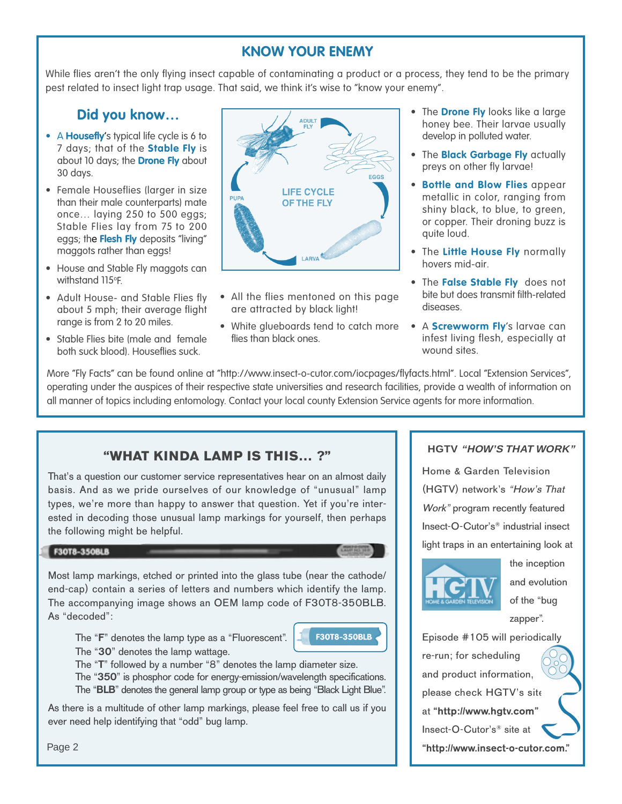# **KNOW YOUR ENEMY**

While flies aren't the only flying insect capable of contaminating a product or a process, they tend to be the primary pest related to insect light trap usage. That said, we think it's wise to "know your enemy".

## **Did you know…**

- A **Housefly**'s typical life cycle is 6 to 7 days; that of the **Stable Fly** is about 10 days; the **Drone Fly** about 30 days.
- Female Houseflies (larger in size than their male counterparts) mate once… laying 250 to 500 eggs; Stable Flies lay from 75 to 200 eggs; the **Flesh Fly** deposits "living" maggots rather than eggs!
- House and Stable Fly maggots can withstand 115°F.
- Adult House- and Stable Flies fly about 5 mph; their average flight range is from 2 to 20 miles.
- Stable Flies bite (male and female both suck blood). Houseflies suck.



- All the flies mentoned on this page are attracted by black light!
- White glueboards tend to catch more flies than black ones.
- The **Drone Fly** looks like a large honey bee. Their larvae usually develop in polluted water.
- The **Black Garbage Fly** actually preys on other fly larvae!
- **Bottle and Blow Flies** appear metallic in color, ranging from shiny black, to blue, to green, or copper. Their droning buzz is quite loud.
- The **Little House Fly** normally hovers mid-air.
- The **False Stable Fly** does not bite but does transmit filth-related diseases.
- A **Screwworm Fly**'s larvae can infest living flesh, especially at wound sites.

More "Fly Facts" can be found online at "http://www.insect-o-cutor.com/iocpages/flyfacts.html". Local "Extension Services", operating under the auspices of their respective state universities and research facilities, provide a wealth of information on all manner of topics including entomology. Contact your local county Extension Service agents for more information.

## **"WHAT KINDA LAMP IS THIS… ?"**

That's a question our customer service representatives hear on an almost daily basis. And as we pride ourselves of our knowledge of "unusual" lamp types, we're more than happy to answer that question. Yet if you're interested in decoding those unusual lamp markings for yourself, then perhaps the following might be helpful.

#### F30T8-350BLB

Most lamp markings, etched or printed into the glass tube (near the cathode/ end-cap) contain a series of letters and numbers which identify the lamp. The accompanying image shows an OEM lamp code of F30T8-350BLB. As "decoded":

The "**F**" denotes the lamp type as a "Fluorescent".



The "**30**" denotes the lamp wattage.

The "**T**" followed by a number "8" denotes the lamp diameter size.

The "**350**" is phosphor code for energy-emission/wavelength specifications. The "**BLB**" denotes the general lamp group or type as being "Black Light Blue".

As there is a multitude of other lamp markings, please feel free to call us if you ever need help identifying that "odd" bug lamp.

#### **HGTV "HOW'S THAT WORK"**

Home & Garden Television (HGTV) network's "How's That Work" program recently featured Insect-O-Cutor's® industrial insect light traps in an entertaining look at



the inception and evolution of the "bug zapper".

Episode #105 will periodically re-run; for scheduling and product information, please check HGTV's site at "http://www.hgtv.com" Insect-O-Cutor's® site at **"http://www.insect-o-cutor.com."**

Page 2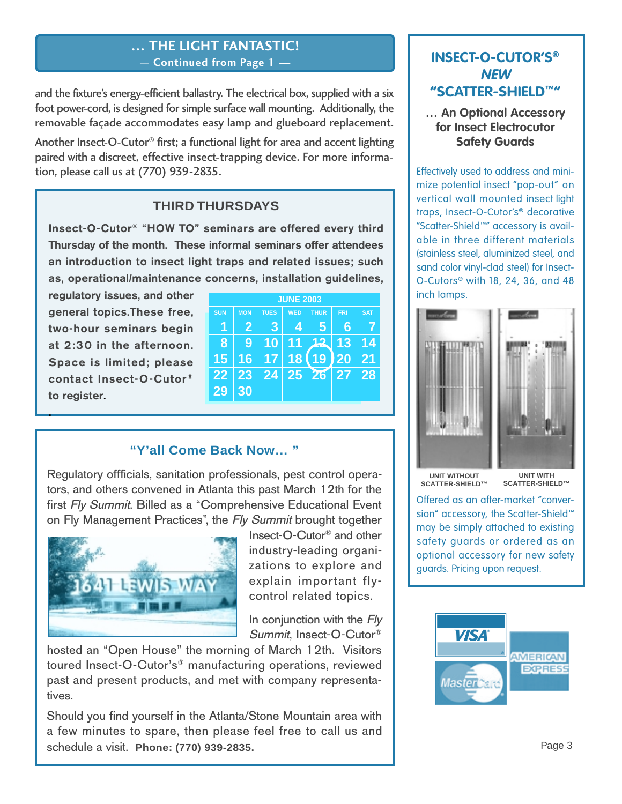## **… THE LIGHT FANTASTIC! — Continued from Page 1 —**

and the fixture's energy-efficient ballastry. The electrical box, supplied with a six foot power-cord, is designed for simple surface wall mounting. Additionally, the removable façade accommodates easy lamp and glueboard replacement.

Another Insect-O-Cutor® first; a functional light for area and accent lighting paired with a discreet, effective insect-trapping device. For more information, please call us at (770) 939-2835.

## **THIRD THURSDAYS**

**Insect-O-Cutor® "HOW TO" seminars are offered every third Thursday of the month. These informal seminars offer attendees an introduction to insect light traps and related issues; such as, operational/maintenance concerns, installation guidelines,**

**regulatory issues, and other general topics.These free, two-hour seminars begin at 2:30 in the afternoon. Space is limited; please contact Insect-O-Cutor® to register.**

**.**

| <b>JUNE 2003</b> |                |             |                 |             |            |            |  |  |
|------------------|----------------|-------------|-----------------|-------------|------------|------------|--|--|
| <b>SUN</b>       | <b>MON</b>     | <b>TUES</b> | <b>WED</b>      | <b>THUR</b> | <b>FRI</b> | <b>SAT</b> |  |  |
|                  | $\overline{2}$ | 3           | 4               | 5           | 6          |            |  |  |
| 8                | g              | 10          | 11              | 12          | 13         | 14         |  |  |
| 15               | 16             | 17          | 18              | 19          | 20         | 21         |  |  |
| $2\overline{2}$  | 23             | 24          | 25 <sub>1</sub> | 26 27       |            | 28         |  |  |
| 29               | 30             |             |                 |             |            |            |  |  |

### **"Y'all Come Back Now… "**

Regulatory offficials, sanitation professionals, pest control operators, and others convened in Atlanta this past March 12th for the first Fly Summit. Billed as a "Comprehensive Educational Event on Fly Management Practices", the Fly Summit brought together



Insect-O-Cutor® and other industry-leading organizations to explore and explain important flycontrol related topics.

In conjunction with the  $Fly$ Summit, Insect-O-Cutor®

hosted an "Open House" the morning of March 12th. Visitors toured Insect-O-Cutor's® manufacturing operations, reviewed past and present products, and met with company representatives.

Should you find yourself in the Atlanta/Stone Mountain area with a few minutes to spare, then please feel free to call us and schedule a visit. **Phone: (770) 939-2835.**

## **INSECT-O-CUTOR'S® NEW "SCATTER-SHIELD™"**

**… An Optional Accessory for Insect Electrocutor Safety Guards**

Effectively used to address and minimize potential insect "pop-out" on vertical wall mounted insect light traps, Insect-O-Cutor's® decorative "Scatter-Shield™" accessory is available in three different materials (stainless steel, aluminized steel, and sand color vinyl-clad steel) for Insect-O-Cutors® with 18, 24, 36, and 48 inch lamps.



**SCATTER-SHIELD™**

**UNIT WITH SCATTER-SHIELD™**

Offered as an after-market "conversion" accessory, the Scatter-Shield™ may be simply attached to existing safety guards or ordered as an optional accessory for new safety guards. Pricing upon request.